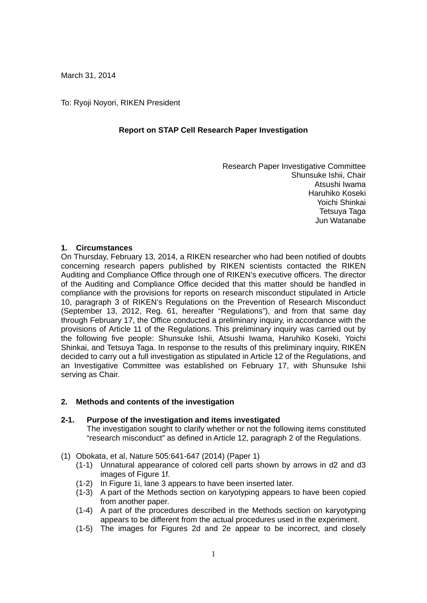March 31, 2014

To: Ryoji Noyori, RIKEN President

# **Report on STAP Cell Research Paper Investigation**

Research Paper Investigative Committee Shunsuke Ishii, Chair Atsushi Iwama Haruhiko Koseki Yoichi Shinkai Tetsuya Taga Jun Watanabe

# **1. Circumstances**

On Thursday, February 13, 2014, a RIKEN researcher who had been notified of doubts concerning research papers published by RIKEN scientists contacted the RIKEN Auditing and Compliance Office through one of RIKEN's executive officers. The director of the Auditing and Compliance Office decided that this matter should be handled in compliance with the provisions for reports on research misconduct stipulated in Article 10, paragraph 3 of RIKEN's Regulations on the Prevention of Research Misconduct (September 13, 2012, Reg. 61, hereafter "Regulations"), and from that same day through February 17, the Office conducted a preliminary inquiry, in accordance with the provisions of Article 11 of the Regulations. This preliminary inquiry was carried out by the following five people: Shunsuke Ishii, Atsushi Iwama, Haruhiko Koseki, Yoichi Shinkai, and Tetsuya Taga. In response to the results of this preliminary inquiry, RIKEN decided to carry out a full investigation as stipulated in Article 12 of the Regulations, and an Investigative Committee was established on February 17, with Shunsuke Ishii serving as Chair.

# **2. Methods and contents of the investigation**

## **2-1. Purpose of the investigation and items investigated**

The investigation sought to clarify whether or not the following items constituted "research misconduct" as defined in Article 12, paragraph 2 of the Regulations.

- (1) Obokata, et al, Nature 505:641-647 (2014) (Paper 1)
	- (1-1) Unnatural appearance of colored cell parts shown by arrows in d2 and d3 images of Figure 1f.
	- (1-2) In Figure 1i, lane 3 appears to have been inserted later.
	- (1-3) A part of the Methods section on karyotyping appears to have been copied from another paper.
	- (1-4) A part of the procedures described in the Methods section on karyotyping appears to be different from the actual procedures used in the experiment.
	- (1-5) The images for Figures 2d and 2e appear to be incorrect, and closely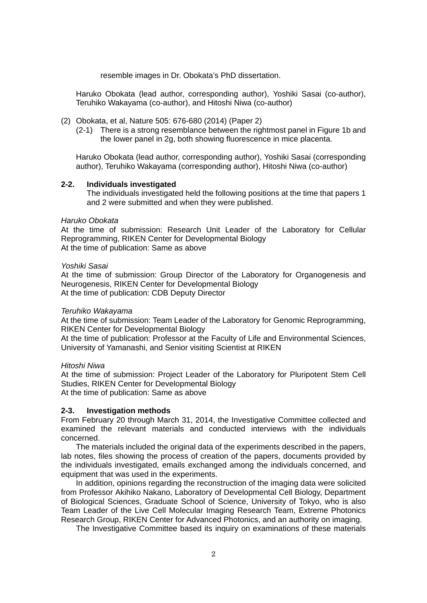resemble images in Dr. Obokata's PhD dissertation.

Haruko Obokata (lead author, corresponding author), Yoshiki Sasai (co-author), Teruhiko Wakayama (co-author), and Hitoshi Niwa (co-author)

- (2) Obokata, et al, Nature 505: 676-680 (2014) (Paper 2)
	- (2-1) There is a strong resemblance between the rightmost panel in Figure 1b and the lower panel in 2g, both showing fluorescence in mice placenta.

Haruko Obokata (lead author, corresponding author), Yoshiki Sasai (corresponding author), Teruhiko Wakayama (corresponding author), Hitoshi Niwa (co-author)

### **2-2. Individuals investigated**

The individuals investigated held the following positions at the time that papers 1 and 2 were submitted and when they were published.

### *Haruko Obokata*

At the time of submission: Research Unit Leader of the Laboratory for Cellular Reprogramming, RIKEN Center for Developmental Biology At the time of publication: Same as above

### *Yoshiki Sasai*

At the time of submission: Group Director of the Laboratory for Organogenesis and Neurogenesis, RIKEN Center for Developmental Biology At the time of publication: CDB Deputy Director

#### *Teruhiko Wakayama*

At the time of submission: Team Leader of the Laboratory for Genomic Reprogramming, RIKEN Center for Developmental Biology

At the time of publication: Professor at the Faculty of Life and Environmental Sciences, University of Yamanashi, and Senior visiting Scientist at RIKEN

## *Hitoshi Niwa*

At the time of submission: Project Leader of the Laboratory for Pluripotent Stem Cell Studies, RIKEN Center for Developmental Biology At the time of publication: Same as above

## **2-3. Investigation methods**

From February 20 through March 31, 2014, the Investigative Committee collected and examined the relevant materials and conducted interviews with the individuals concerned.

 The materials included the original data of the experiments described in the papers, lab notes, files showing the process of creation of the papers, documents provided by the individuals investigated, emails exchanged among the individuals concerned, and equipment that was used in the experiments.

 In addition, opinions regarding the reconstruction of the imaging data were solicited from Professor Akihiko Nakano, Laboratory of Developmental Cell Biology, Department of Biological Sciences, Graduate School of Science, University of Tokyo, who is also Team Leader of the Live Cell Molecular Imaging Research Team, Extreme Photonics Research Group, RIKEN Center for Advanced Photonics, and an authority on imaging.

The Investigative Committee based its inquiry on examinations of these materials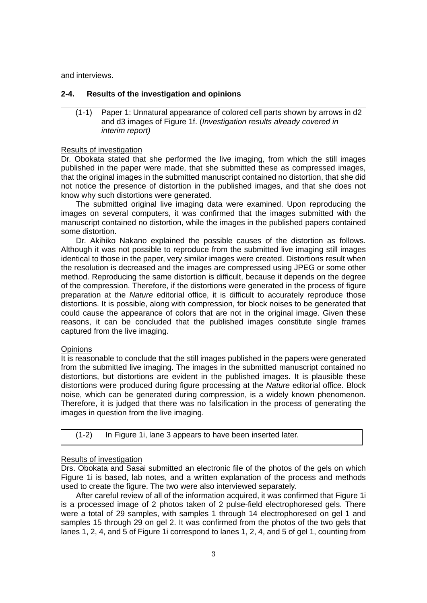and interviews.

# **2-4. Results of the investigation and opinions**

## (1-1) Paper 1: Unnatural appearance of colored cell parts shown by arrows in d2 and d3 images of Figure 1f. (*Investigation results already covered in interim report)*

### Results of investigation

Dr. Obokata stated that she performed the live imaging, from which the still images published in the paper were made, that she submitted these as compressed images. that the original images in the submitted manuscript contained no distortion, that she did not notice the presence of distortion in the published images, and that she does not know why such distortions were generated.

 The submitted original live imaging data were examined. Upon reproducing the images on several computers, it was confirmed that the images submitted with the manuscript contained no distortion, while the images in the published papers contained some distortion.

 Dr. Akihiko Nakano explained the possible causes of the distortion as follows. Although it was not possible to reproduce from the submitted live imaging still images identical to those in the paper, very similar images were created. Distortions result when the resolution is decreased and the images are compressed using JPEG or some other method. Reproducing the same distortion is difficult, because it depends on the degree of the compression. Therefore, if the distortions were generated in the process of figure preparation at the *Nature* editorial office, it is difficult to accurately reproduce those distortions. It is possible, along with compression, for block noises to be generated that could cause the appearance of colors that are not in the original image. Given these reasons, it can be concluded that the published images constitute single frames captured from the live imaging.

## **Opinions**

It is reasonable to conclude that the still images published in the papers were generated from the submitted live imaging. The images in the submitted manuscript contained no distortions, but distortions are evident in the published images. It is plausible these distortions were produced during figure processing at the *Nature* editorial office. Block noise, which can be generated during compression, is a widely known phenomenon. Therefore, it is judged that there was no falsification in the process of generating the images in question from the live imaging.

|  | (1-2) In Figure 1i, lane 3 appears to have been inserted later. |  |
|--|-----------------------------------------------------------------|--|
|--|-----------------------------------------------------------------|--|

## Results of investigation

Drs. Obokata and Sasai submitted an electronic file of the photos of the gels on which Figure 1i is based, lab notes, and a written explanation of the process and methods used to create the figure. The two were also interviewed separately.

 After careful review of all of the information acquired, it was confirmed that Figure 1i is a processed image of 2 photos taken of 2 pulse-field electrophoresed gels. There were a total of 29 samples, with samples 1 through 14 electrophoresed on gel 1 and samples 15 through 29 on gel 2. It was confirmed from the photos of the two gels that lanes 1, 2, 4, and 5 of Figure 1i correspond to lanes 1, 2, 4, and 5 of gel 1, counting from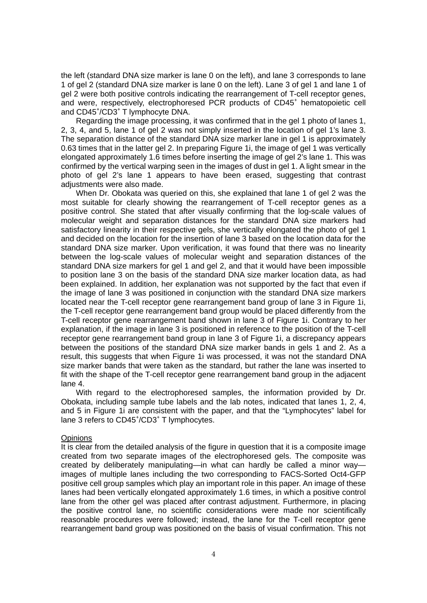the left (standard DNA size marker is lane 0 on the left), and lane 3 corresponds to lane 1 of gel 2 (standard DNA size marker is lane 0 on the left). Lane 3 of gel 1 and lane 1 of gel 2 were both positive controls indicating the rearrangement of T-cell receptor genes, and were, respectively, electrophoresed PCR products of CD45<sup>+</sup> hematopoietic cell and CD45<sup>+</sup>/CD3<sup>+</sup> T lymphocyte DNA.

 Regarding the image processing, it was confirmed that in the gel 1 photo of lanes 1, 2, 3, 4, and 5, lane 1 of gel 2 was not simply inserted in the location of gel 1's lane 3. The separation distance of the standard DNA size marker lane in gel 1 is approximately 0.63 times that in the latter gel 2. In preparing Figure 1i, the image of gel 1 was vertically elongated approximately 1.6 times before inserting the image of gel 2's lane 1. This was confirmed by the vertical warping seen in the images of dust in gel 1. A light smear in the photo of gel 2's lane 1 appears to have been erased, suggesting that contrast adiustments were also made.

 When Dr. Obokata was queried on this, she explained that lane 1 of gel 2 was the most suitable for clearly showing the rearrangement of T-cell receptor genes as a positive control. She stated that after visually confirming that the log-scale values of molecular weight and separation distances for the standard DNA size markers had satisfactory linearity in their respective gels, she vertically elongated the photo of gel 1 and decided on the location for the insertion of lane 3 based on the location data for the standard DNA size marker. Upon verification, it was found that there was no linearity between the log-scale values of molecular weight and separation distances of the standard DNA size markers for gel 1 and gel 2, and that it would have been impossible to position lane 3 on the basis of the standard DNA size marker location data, as had been explained. In addition, her explanation was not supported by the fact that even if the image of lane 3 was positioned in conjunction with the standard DNA size markers located near the T-cell receptor gene rearrangement band group of lane 3 in Figure 1i, the T-cell receptor gene rearrangement band group would be placed differently from the T-cell receptor gene rearrangement band shown in lane 3 of Figure 1i. Contrary to her explanation, if the image in lane 3 is positioned in reference to the position of the T-cell receptor gene rearrangement band group in lane 3 of Figure 1i, a discrepancy appears between the positions of the standard DNA size marker bands in gels 1 and 2. As a result, this suggests that when Figure 1i was processed, it was not the standard DNA size marker bands that were taken as the standard, but rather the lane was inserted to fit with the shape of the T-cell receptor gene rearrangement band group in the adjacent lane 4.

 With regard to the electrophoresed samples, the information provided by Dr. Obokata, including sample tube labels and the lab notes, indicated that lanes 1, 2, 4, and 5 in Figure 1i are consistent with the paper, and that the "Lymphocytes" label for lane 3 refers to CD45+/CD3+ T lymphocytes.

#### **Opinions**

It is clear from the detailed analysis of the figure in question that it is a composite image created from two separate images of the electrophoresed gels. The composite was created by deliberately manipulating—in what can hardly be called a minor wayimages of multiple lanes including the two corresponding to FACS-Sorted Oct4-GFP positive cell group samples which play an important role in this paper. An image of these lanes had been vertically elongated approximately 1.6 times, in which a positive control lane from the other gel was placed after contrast adjustment. Furthermore, in placing the positive control lane, no scientific considerations were made nor scientifically reasonable procedures were followed; instead, the lane for the T-cell receptor gene rearrangement band group was positioned on the basis of visual confirmation. This not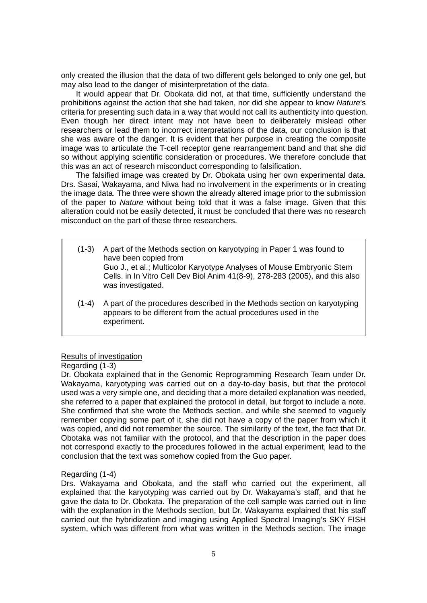only created the illusion that the data of two different gels belonged to only one gel, but may also lead to the danger of misinterpretation of the data.

 It would appear that Dr. Obokata did not, at that time, sufficiently understand the prohibitions against the action that she had taken, nor did she appear to know *Nature*'s criteria for presenting such data in a way that would not call its authenticity into question. Even though her direct intent may not have been to deliberately mislead other researchers or lead them to incorrect interpretations of the data, our conclusion is that she was aware of the danger. It is evident that her purpose in creating the composite image was to articulate the T-cell receptor gene rearrangement band and that she did so without applying scientific consideration or procedures. We therefore conclude that this was an act of research misconduct corresponding to falsification.

 The falsified image was created by Dr. Obokata using her own experimental data. Drs. Sasai, Wakayama, and Niwa had no involvement in the experiments or in creating the image data. The three were shown the already altered image prior to the submission of the paper to *Nature* without being told that it was a false image. Given that this alteration could not be easily detected, it must be concluded that there was no research misconduct on the part of these three researchers.

- (1-3) A part of the Methods section on karyotyping in Paper 1 was found to have been copied from Guo J., et al.; Multicolor Karyotype Analyses of Mouse Embryonic Stem Cells. in In Vitro Cell Dev Biol Anim 41(8-9), 278-283 (2005), and this also was investigated.
- (1-4) A part of the procedures described in the Methods section on karyotyping appears to be different from the actual procedures used in the experiment.

#### Results of investigation

### Regarding (1-3)

Dr. Obokata explained that in the Genomic Reprogramming Research Team under Dr. Wakayama, karyotyping was carried out on a day-to-day basis, but that the protocol used was a very simple one, and deciding that a more detailed explanation was needed, she referred to a paper that explained the protocol in detail, but forgot to include a note. She confirmed that she wrote the Methods section, and while she seemed to vaguely remember copying some part of it, she did not have a copy of the paper from which it was copied, and did not remember the source. The similarity of the text, the fact that Dr. Obotaka was not familiar with the protocol, and that the description in the paper does not correspond exactly to the procedures followed in the actual experiment, lead to the conclusion that the text was somehow copied from the Guo paper.

### Regarding (1-4)

Drs. Wakayama and Obokata, and the staff who carried out the experiment, all explained that the karyotyping was carried out by Dr. Wakayama's staff, and that he gave the data to Dr. Obokata. The preparation of the cell sample was carried out in line with the explanation in the Methods section, but Dr. Wakayama explained that his staff carried out the hybridization and imaging using Applied Spectral Imaging's SKY FISH system, which was different from what was written in the Methods section. The image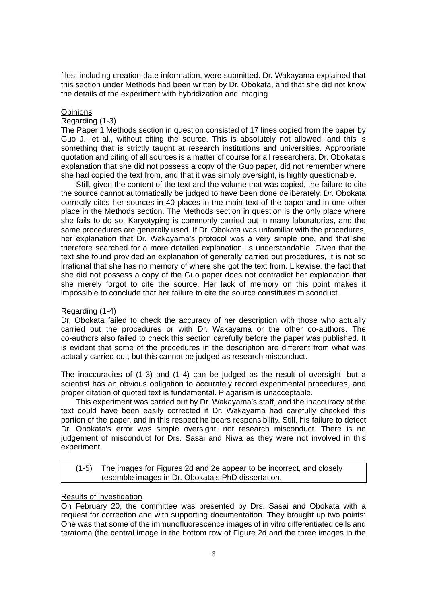files, including creation date information, were submitted. Dr. Wakayama explained that this section under Methods had been written by Dr. Obokata, and that she did not know the details of the experiment with hybridization and imaging.

## **Opinions**

## Regarding (1-3)

The Paper 1 Methods section in question consisted of 17 lines copied from the paper by Guo J., et al., without citing the source. This is absolutely not allowed, and this is something that is strictly taught at research institutions and universities. Appropriate quotation and citing of all sources is a matter of course for all researchers. Dr. Obokata's explanation that she did not possess a copy of the Guo paper, did not remember where she had copied the text from, and that it was simply oversight, is highly questionable.

 Still, given the content of the text and the volume that was copied, the failure to cite the source cannot automatically be judged to have been done deliberately. Dr. Obokata correctly cites her sources in 40 places in the main text of the paper and in one other place in the Methods section. The Methods section in question is the only place where she fails to do so. Karyotyping is commonly carried out in many laboratories, and the same procedures are generally used. If Dr. Obokata was unfamiliar with the procedures, her explanation that Dr. Wakayama's protocol was a very simple one, and that she therefore searched for a more detailed explanation, is understandable. Given that the text she found provided an explanation of generally carried out procedures, it is not so irrational that she has no memory of where she got the text from. Likewise, the fact that she did not possess a copy of the Guo paper does not contradict her explanation that she merely forgot to cite the source. Her lack of memory on this point makes it impossible to conclude that her failure to cite the source constitutes misconduct.

# Regarding (1-4)

Dr. Obokata failed to check the accuracy of her description with those who actually carried out the procedures or with Dr. Wakayama or the other co-authors. The co-authors also failed to check this section carefully before the paper was published. It is evident that some of the procedures in the description are different from what was actually carried out, but this cannot be judged as research misconduct.

The inaccuracies of (1-3) and (1-4) can be judged as the result of oversight, but a scientist has an obvious obligation to accurately record experimental procedures, and proper citation of quoted text is fundamental. Plagarism is unacceptable.

 This experiment was carried out by Dr. Wakayama's staff, and the inaccuracy of the text could have been easily corrected if Dr. Wakayama had carefully checked this portion of the paper, and in this respect he bears responsibility. Still, his failure to detect Dr. Obokata's error was simple oversight, not research misconduct. There is no judgement of misconduct for Drs. Sasai and Niwa as they were not involved in this experiment.

| $(1-5)$ | The images for Figures 2d and 2e appear to be incorrect, and closely |
|---------|----------------------------------------------------------------------|
|         | resemble images in Dr. Obokata's PhD dissertation.                   |

# Results of investigation

On February 20, the committee was presented by Drs. Sasai and Obokata with a request for correction and with supporting documentation. They brought up two points: One was that some of the immunofluorescence images of in vitro differentiated cells and teratoma (the central image in the bottom row of Figure 2d and the three images in the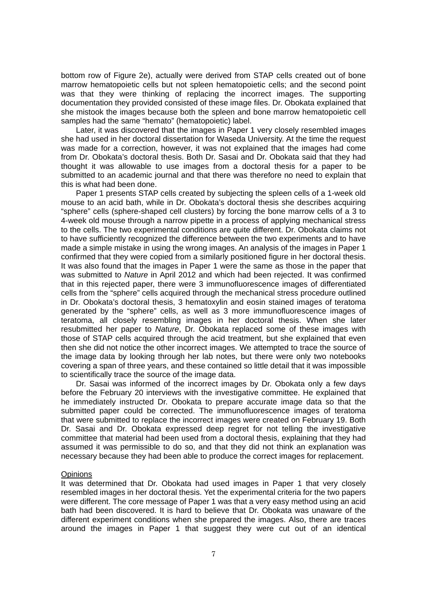bottom row of Figure 2e), actually were derived from STAP cells created out of bone marrow hematopoietic cells but not spleen hematopoietic cells; and the second point was that they were thinking of replacing the incorrect images. The supporting documentation they provided consisted of these image files. Dr. Obokata explained that she mistook the images because both the spleen and bone marrow hematopoietic cell samples had the same "hemato" (hematopoietic) label.

 Later, it was discovered that the images in Paper 1 very closely resembled images she had used in her doctoral dissertation for Waseda University. At the time the request was made for a correction, however, it was not explained that the images had come from Dr. Obokata's doctoral thesis. Both Dr. Sasai and Dr. Obokata said that they had thought it was allowable to use images from a doctoral thesis for a paper to be submitted to an academic journal and that there was therefore no need to explain that this is what had been done.

Paper 1 presents STAP cells created by subjecting the spleen cells of a 1-week old mouse to an acid bath, while in Dr. Obokata's doctoral thesis she describes acquiring "sphere" cells (sphere-shaped cell clusters) by forcing the bone marrow cells of a 3 to 4-week old mouse through a narrow pipette in a process of applying mechanical stress to the cells. The two experimental conditions are quite different. Dr. Obokata claims not to have sufficiently recognized the difference between the two experiments and to have made a simple mistake in using the wrong images. An analysis of the images in Paper 1 confirmed that they were copied from a similarly positioned figure in her doctoral thesis. It was also found that the images in Paper 1 were the same as those in the paper that was submitted to *Nature* in April 2012 and which had been rejected. It was confirmed that in this rejected paper, there were 3 immunofluorescence images of differentiated cells from the "sphere" cells acquired through the mechanical stress procedure outlined in Dr. Obokata's doctoral thesis, 3 hematoxylin and eosin stained images of teratoma generated by the "sphere" cells, as well as 3 more immunofluorescence images of teratoma, all closely resembling images in her doctoral thesis. When she later resubmitted her paper to *Nature*, Dr. Obokata replaced some of these images with those of STAP cells acquired through the acid treatment, but she explained that even then she did not notice the other incorrect images. We attempted to trace the source of the image data by looking through her lab notes, but there were only two notebooks covering a span of three years, and these contained so little detail that it was impossible to scientifically trace the source of the image data.

 Dr. Sasai was informed of the incorrect images by Dr. Obokata only a few days before the February 20 interviews with the investigative committee. He explained that he immediately instructed Dr. Obokata to prepare accurate image data so that the submitted paper could be corrected. The immunofluorescence images of teratoma that were submitted to replace the incorrect images were created on February 19. Both Dr. Sasai and Dr. Obokata expressed deep regret for not telling the investigative committee that material had been used from a doctoral thesis, explaining that they had assumed it was permissible to do so, and that they did not think an explanation was necessary because they had been able to produce the correct images for replacement.

#### **Opinions**

It was determined that Dr. Obokata had used images in Paper 1 that very closely resembled images in her doctoral thesis. Yet the experimental criteria for the two papers were different. The core message of Paper 1 was that a very easy method using an acid bath had been discovered. It is hard to believe that Dr. Obokata was unaware of the different experiment conditions when she prepared the images. Also, there are traces around the images in Paper 1 that suggest they were cut out of an identical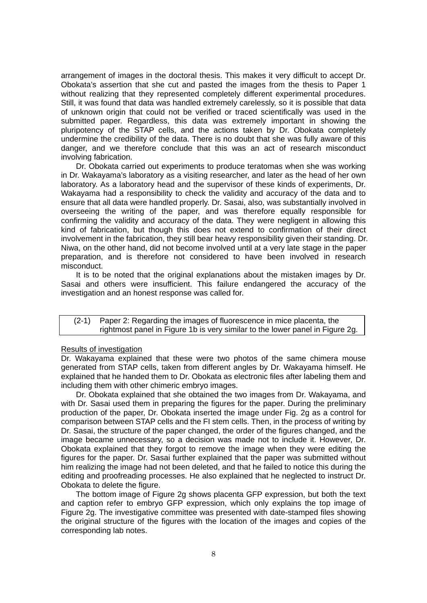arrangement of images in the doctoral thesis. This makes it very difficult to accept Dr. Obokata's assertion that she cut and pasted the images from the thesis to Paper 1 without realizing that they represented completely different experimental procedures. Still, it was found that data was handled extremely carelessly, so it is possible that data of unknown origin that could not be verified or traced scientifically was used in the submitted paper. Regardless, this data was extremely important in showing the pluripotency of the STAP cells, and the actions taken by Dr. Obokata completely undermine the credibility of the data. There is no doubt that she was fully aware of this danger, and we therefore conclude that this was an act of research misconduct involving fabrication.

 Dr. Obokata carried out experiments to produce teratomas when she was working in Dr. Wakayama's laboratory as a visiting researcher, and later as the head of her own laboratory. As a laboratory head and the supervisor of these kinds of experiments, Dr. Wakayama had a responsibility to check the validity and accuracy of the data and to ensure that all data were handled properly. Dr. Sasai, also, was substantially involved in overseeing the writing of the paper, and was therefore equally responsible for confirming the validity and accuracy of the data. They were negligent in allowing this kind of fabrication, but though this does not extend to confirmation of their direct involvement in the fabrication, they still bear heavy responsibility given their standing. Dr. Niwa, on the other hand, did not become involved until at a very late stage in the paper preparation, and is therefore not considered to have been involved in research misconduct.

It is to be noted that the original explanations about the mistaken images by Dr. Sasai and others were insufficient. This failure endangered the accuracy of the investigation and an honest response was called for.

## (2-1) Paper 2: Regarding the images of fluorescence in mice placenta, the rightmost panel in Figure 1b is very similar to the lower panel in Figure 2g.

#### Results of investigation

Dr. Wakayama explained that these were two photos of the same chimera mouse generated from STAP cells, taken from different angles by Dr. Wakayama himself. He explained that he handed them to Dr. Obokata as electronic files after labeling them and including them with other chimeric embryo images.

 Dr. Obokata explained that she obtained the two images from Dr. Wakayama, and with Dr. Sasai used them in preparing the figures for the paper. During the preliminary production of the paper, Dr. Obokata inserted the image under Fig. 2g as a control for comparison between STAP cells and the FI stem cells. Then, in the process of writing by Dr. Sasai, the structure of the paper changed, the order of the figures changed, and the image became unnecessary, so a decision was made not to include it. However, Dr. Obokata explained that they forgot to remove the image when they were editing the figures for the paper. Dr. Sasai further explained that the paper was submitted without him realizing the image had not been deleted, and that he failed to notice this during the editing and proofreading processes. He also explained that he neglected to instruct Dr. Obokata to delete the figure.

 The bottom image of Figure 2g shows placenta GFP expression, but both the text and caption refer to embryo GFP expression, which only explains the top image of Figure 2g. The investigative committee was presented with date-stamped files showing the original structure of the figures with the location of the images and copies of the corresponding lab notes.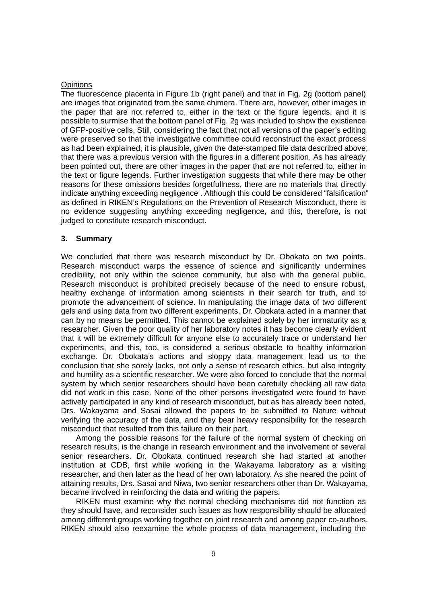#### **Opinions**

The fluorescence placenta in Figure 1b (right panel) and that in Fig. 2g (bottom panel) are images that originated from the same chimera. There are, however, other images in the paper that are not referred to, either in the text or the figure legends, and it is possible to surmise that the bottom panel of Fig. 2g was included to show the existience of GFP-positive cells. Still, considering the fact that not all versions of the paper's editing were preserved so that the investigative committee could reconstruct the exact process as had been explained, it is plausible, given the date-stamped file data described above, that there was a previous version with the figures in a different position. As has already been pointed out, there are other images in the paper that are not referred to, either in the text or figure legends. Further investigation suggests that while there may be other reasons for these omissions besides forgetfullness, there are no materials that directly indicate anything exceeding negligence . Although this could be considered "falsification" as defined in RIKEN's Regulations on the Prevention of Research Misconduct, there is no evidence suggesting anything exceeding negligence, and this, therefore, is not judged to constitute research misconduct.

## **3. Summary**

We concluded that there was research misconduct by Dr. Obokata on two points. Research misconduct warps the essence of science and significantly undermines credibility, not only within the science community, but also with the general public. Research misconduct is prohibited precisely because of the need to ensure robust, healthy exchange of information among scientists in their search for truth, and to promote the advancement of science. In manipulating the image data of two different gels and using data from two different experiments, Dr. Obokata acted in a manner that can by no means be permitted. This cannot be explained solely by her immaturity as a researcher. Given the poor quality of her laboratory notes it has become clearly evident that it will be extremely difficult for anyone else to accurately trace or understand her experiments, and this, too, is considered a serious obstacle to healthy information exchange. Dr. Obokata's actions and sloppy data management lead us to the conclusion that she sorely lacks, not only a sense of research ethics, but also integrity and humility as a scientific researcher. We were also forced to conclude that the normal system by which senior researchers should have been carefully checking all raw data did not work in this case. None of the other persons investigated were found to have actively participated in any kind of research misconduct, but as has already been noted, Drs. Wakayama and Sasai allowed the papers to be submitted to Nature without verifying the accuracy of the data, and they bear heavy responsibility for the research misconduct that resulted from this failure on their part.

 Among the possible reasons for the failure of the normal system of checking on research results, is the change in research environment and the involvement of several senior researchers. Dr. Obokata continued research she had started at another institution at CDB, first while working in the Wakayama laboratory as a visiting researcher, and then later as the head of her own laboratory. As she neared the point of attaining results, Drs. Sasai and Niwa, two senior researchers other than Dr. Wakayama, became involved in reinforcing the data and writing the papers.

 RIKEN must examine why the normal checking mechanisms did not function as they should have, and reconsider such issues as how responsibility should be allocated among different groups working together on joint research and among paper co-authors. RIKEN should also reexamine the whole process of data management, including the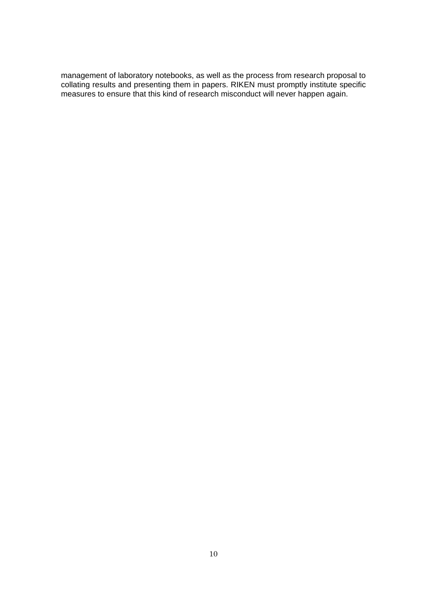management of laboratory notebooks, as well as the process from research proposal to collating results and presenting them in papers. RIKEN must promptly institute specific measures to ensure that this kind of research misconduct will never happen again.